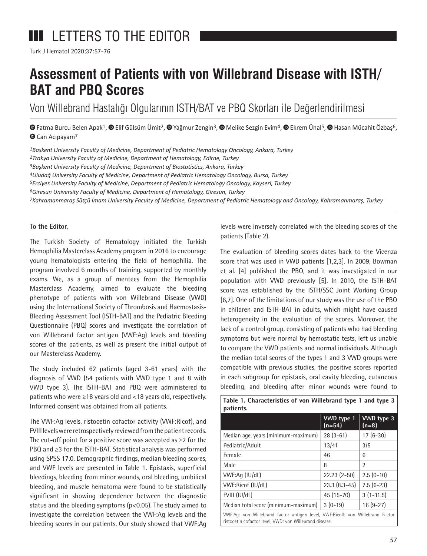# **III** LETTERS TO THE EDITOR

Turk J Hematol 2020;37:57-76

## **Assessment of Patients with von Willebrand Disease with ISTH/ BAT and PBQ Scores**

Von Willebrand Hastalığı Olgularının ISTH/BAT ve PBQ Skorları ile Değerlendirilmesi

 $\bullet$ Fatma Burcu Belen Apak<sup>1</sup>,  $\bullet$  Elif Gülsüm Ümit<sup>2</sup>,  $\bullet$  Yağmur Zengin<sup>3</sup>,  $\bullet$  Melike Sezgin Evim<sup>4</sup>,  $\bullet$  Ekrem Ünal<sup>5</sup>,  $\bullet$  Hasan Mücahit Özbaş<sup>6</sup>, Can Acıpayam<sup>7</sup>

*1Başkent University Faculty of Medicine, Department of Pediatric Hematology Oncology, Ankara, Turkey 2Trakya University Faculty of Medicine, Department of Hematology, Edirne, Turkey*

*3Başkent University Faculty of Medicine, Department of Biostatistics, Ankara, Turkey*

*4Uludağ University Faculty of Medicine, Department of Pediatric Hematology Oncology, Bursa, Turkey*

*5Erciyes University Faculty of Medicine, Department of Pediatric Hematology Oncology, Kayseri, Turkey*

*6Giresun University Faculty of Medicine, Department of Hematology, Giresun, Turkey*

*7Kahramanmaraş Sütçü İmam University Faculty of Medicine, Department of Pediatric Hematology and Oncology, Kahramanmaraş, Turkey*

### **To the Editor,**

The Turkish Society of Hematology initiated the Turkish Hemophilia Masterclass Academy program in 2016 to encourage young hematologists entering the field of hemophilia. The program involved 6 months of training, supported by monthly exams. We, as a group of mentees from the Hemophilia Masterclass Academy, aimed to evaluate the bleeding phenotype of patients with von Willebrand Disease (VWD) using the International Society of Thrombosis and Haemostasis-Bleeding Assessment Tool (ISTH-BAT) and the Pediatric Bleeding Questionnaire (PBQ) scores and investigate the correlation of von Willebrand factor antigen (VWF:Ag) levels and bleeding scores of the patients, as well as present the initial output of our Masterclass Academy.

The study included 62 patients (aged 3-61 years) with the diagnosis of VWD (54 patients with VWD type 1 and 8 with VWD type 3). The ISTH-BAT and PBQ were administered to patients who were ≥18 years old and <18 years old, respectively. Informed consent was obtained from all patients.

The VWF:Ag levels, ristocetin cofactor activity (VWF:Ricof), and FVIII levels were retrospectively reviewed from the patient records. The cut-off point for a positive score was accepted as  $\geq 2$  for the PBQ and ≥3 for the ISTH-BAT. Statistical analysis was performed using SPSS 17.0. Demographic findings, median bleeding scores, and VWF levels are presented in Table 1. Epistaxis, superficial bleedings, bleeding from minor wounds, oral bleeding, umbilical bleeding, and muscle hematoma were found to be statistically significant in showing dependence between the diagnostic status and the bleeding symptoms (p<0.05). The study aimed to investigate the correlation between the VWF:Ag levels and the bleeding scores in our patients. Our study showed that VWF:Ag

levels were inversely correlated with the bleeding scores of the patients (Table 2).

The evaluation of bleeding scores dates back to the Vicenza score that was used in VWD patients [1,2,3]. In 2009, Bowman et al. [4] published the PBQ, and it was investigated in our population with VWD previously [5]. In 2010, the ISTH-BAT score was established by the ISTH/SSC Joint Working Group [6,7]. One of the limitations of our study was the use of the PBQ in children and ISTH-BAT in adults, which might have caused heterogeneity in the evaluation of the scores. Moreover, the lack of a control group, consisting of patients who had bleeding symptoms but were normal by hemostatic tests, left us unable to compare the VWD patients and normal individuals. Although the median total scores of the types 1 and 3 VWD groups were compatible with previous studies, the positive scores reported in each subgroup for epistaxis, oral cavity bleeding, cutaneous bleeding, and bleeding after minor wounds were found to

**Table 1. Characteristics of von Willebrand type 1 and type 3 patients.**

|                                                                                                                                           | VWD type 1<br>$(n=54)$  | VWD type 3<br>$(n=8)$ |  |
|-------------------------------------------------------------------------------------------------------------------------------------------|-------------------------|-----------------------|--|
| Median age, years (minimum-maximum)                                                                                                       | $28(3-61)$              | $17(6-30)$            |  |
| Pediatric/Adult                                                                                                                           | 13/41                   | 3/5                   |  |
| Female                                                                                                                                    | 46                      | 6                     |  |
| Male                                                                                                                                      | 8                       | $\mathfrak{p}$        |  |
| VWF:Ag (IU/dL)                                                                                                                            | $22.23(2-50)$           | $2.5(0-10)$           |  |
| VWF:Ricof (IU/dL)                                                                                                                         | $23.3(8.3-45)$          | $7.5(6-23)$           |  |
| FVIII (IU/dL)                                                                                                                             | 45 (15-70)              | $3(1-11.5)$           |  |
| Median total score (minimum-maximum)                                                                                                      | $3(0-19)$<br>$16(9-27)$ |                       |  |
| VWF:Ag: von Willebrand factor antigen level, VWF:Ricoll: von Willebrand Factor<br>ristocetin cofactor level, VWD: von Willebrand disease. |                         |                       |  |